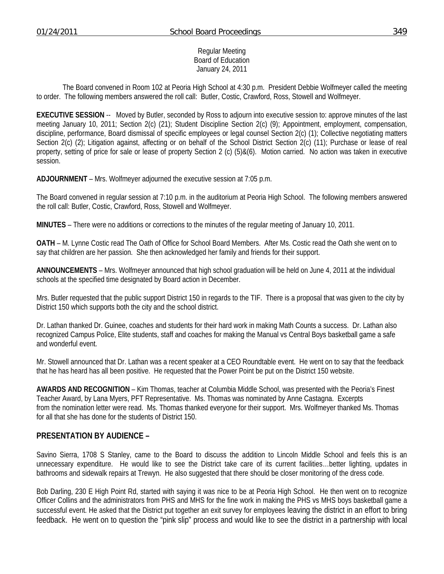#### Regular Meeting Board of Education January 24, 2011

 The Board convened in Room 102 at Peoria High School at 4:30 p.m. President Debbie Wolfmeyer called the meeting to order. The following members answered the roll call: Butler, Costic, Crawford, Ross, Stowell and Wolfmeyer.

**EXECUTIVE SESSION** -- Moved by Butler, seconded by Ross to adjourn into executive session to: approve minutes of the last meeting January 10, 2011; Section 2(c) (21); Student Discipline Section 2(c) (9); Appointment, employment, compensation, discipline, performance, Board dismissal of specific employees or legal counsel Section 2(c) (1); Collective negotiating matters Section 2(c) (2); Litigation against, affecting or on behalf of the School District Section 2(c) (11); Purchase or lease of real property, setting of price for sale or lease of property Section 2 (c) (5)&(6). Motion carried. No action was taken in executive session.

**ADJOURNMENT** – Mrs. Wolfmeyer adjourned the executive session at 7:05 p.m.

The Board convened in regular session at 7:10 p.m. in the auditorium at Peoria High School. The following members answered the roll call: Butler, Costic, Crawford, Ross, Stowell and Wolfmeyer.

**MINUTES** – There were no additions or corrections to the minutes of the regular meeting of January 10, 2011.

**OATH** – M. Lynne Costic read The Oath of Office for School Board Members. After Ms. Costic read the Oath she went on to say that children are her passion. She then acknowledged her family and friends for their support.

**ANNOUNCEMENTS** – Mrs. Wolfmeyer announced that high school graduation will be held on June 4, 2011 at the individual schools at the specified time designated by Board action in December.

Mrs. Butler requested that the public support District 150 in regards to the TIF. There is a proposal that was given to the city by District 150 which supports both the city and the school district.

Dr. Lathan thanked Dr. Guinee, coaches and students for their hard work in making Math Counts a success. Dr. Lathan also recognized Campus Police, Elite students, staff and coaches for making the Manual vs Central Boys basketball game a safe and wonderful event.

Mr. Stowell announced that Dr. Lathan was a recent speaker at a CEO Roundtable event. He went on to say that the feedback that he has heard has all been positive. He requested that the Power Point be put on the District 150 website.

**AWARDS AND RECOGNITION** – Kim Thomas, teacher at Columbia Middle School, was presented with the Peoria's Finest Teacher Award, by Lana Myers, PFT Representative. Ms. Thomas was nominated by Anne Castagna. Excerpts from the nomination letter were read. Ms. Thomas thanked everyone for their support. Mrs. Wolfmeyer thanked Ms. Thomas for all that she has done for the students of District 150.

## **PRESENTATION BY AUDIENCE –**

Savino Sierra, 1708 S Stanley, came to the Board to discuss the addition to Lincoln Middle School and feels this is an unnecessary expenditure. He would like to see the District take care of its current facilities…better lighting, updates in bathrooms and sidewalk repairs at Trewyn. He also suggested that there should be closer monitoring of the dress code.

Bob Darling, 230 E High Point Rd, started with saying it was nice to be at Peoria High School. He then went on to recognize Officer Collins and the administrators from PHS and MHS for the fine work in making the PHS vs MHS boys basketball game a successful event. He asked that the District put together an exit survey for employees leaving the district in an effort to bring feedback. He went on to question the "pink slip" process and would like to see the district in a partnership with local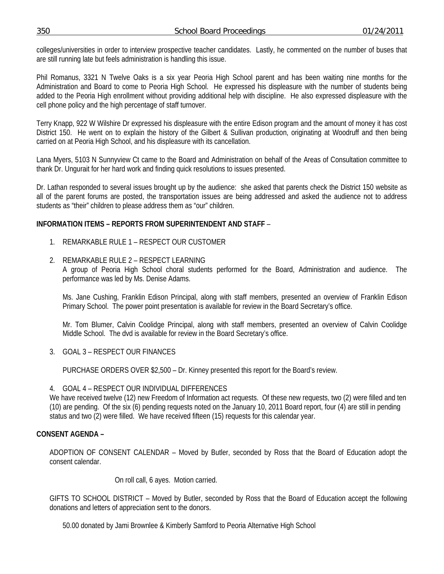colleges/universities in order to interview prospective teacher candidates. Lastly, he commented on the number of buses that are still running late but feels administration is handling this issue.

Phil Romanus, 3321 N Twelve Oaks is a six year Peoria High School parent and has been waiting nine months for the Administration and Board to come to Peoria High School. He expressed his displeasure with the number of students being added to the Peoria High enrollment without providing additional help with discipline. He also expressed displeasure with the cell phone policy and the high percentage of staff turnover.

Terry Knapp, 922 W Wilshire Dr expressed his displeasure with the entire Edison program and the amount of money it has cost District 150. He went on to explain the history of the Gilbert & Sullivan production, originating at Woodruff and then being carried on at Peoria High School, and his displeasure with its cancellation.

Lana Myers, 5103 N Sunnyview Ct came to the Board and Administration on behalf of the Areas of Consultation committee to thank Dr. Ungurait for her hard work and finding quick resolutions to issues presented.

Dr. Lathan responded to several issues brought up by the audience: she asked that parents check the District 150 website as all of the parent forums are posted, the transportation issues are being addressed and asked the audience not to address students as "their" children to please address them as "our" children.

## **INFORMATION ITEMS – REPORTS FROM SUPERINTENDENT AND STAFF** –

- 1. REMARKABLE RULE 1 RESPECT OUR CUSTOMER
- 2. REMARKABLE RULE 2 RESPECT LEARNING A group of Peoria High School choral students performed for the Board, Administration and audience. The performance was led by Ms. Denise Adams.

Ms. Jane Cushing, Franklin Edison Principal, along with staff members, presented an overview of Franklin Edison Primary School. The power point presentation is available for review in the Board Secretary's office.

Mr. Tom Blumer, Calvin Coolidge Principal, along with staff members, presented an overview of Calvin Coolidge Middle School. The dvd is available for review in the Board Secretary's office.

3. GOAL 3 – RESPECT OUR FINANCES

PURCHASE ORDERS OVER \$2,500 – Dr. Kinney presented this report for the Board's review.

# 4. GOAL 4 – RESPECT OUR INDIVIDUAL DIFFERENCES

We have received twelve (12) new Freedom of Information act requests. Of these new requests, two (2) were filled and ten (10) are pending. Of the six (6) pending requests noted on the January 10, 2011 Board report, four (4) are still in pending status and two (2) were filled. We have received fifteen (15) requests for this calendar year.

# **CONSENT AGENDA –**

ADOPTION OF CONSENT CALENDAR – Moved by Butler, seconded by Ross that the Board of Education adopt the consent calendar.

On roll call, 6 ayes. Motion carried.

GIFTS TO SCHOOL DISTRICT – Moved by Butler, seconded by Ross that the Board of Education accept the following donations and letters of appreciation sent to the donors.

50.00 donated by Jami Brownlee & Kimberly Samford to Peoria Alternative High School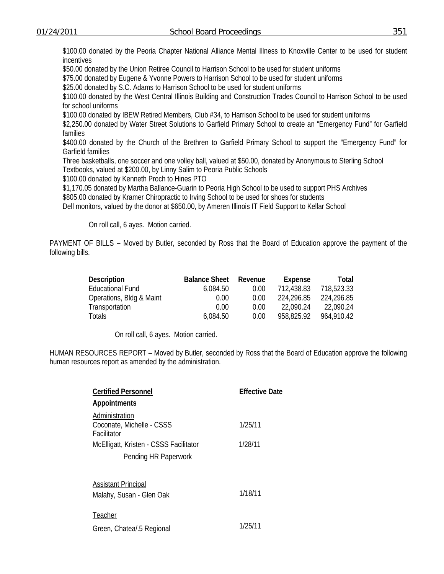\$100.00 donated by the Peoria Chapter National Alliance Mental Illness to Knoxville Center to be used for student incentives

\$50.00 donated by the Union Retiree Council to Harrison School to be used for student uniforms

\$75.00 donated by Eugene & Yvonne Powers to Harrison School to be used for student uniforms

\$25.00 donated by S.C. Adams to Harrison School to be used for student uniforms

\$100.00 donated by the West Central Illinois Building and Construction Trades Council to Harrison School to be used for school uniforms

\$100.00 donated by IBEW Retired Members, Club #34, to Harrison School to be used for student uniforms

\$2,250.00 donated by Water Street Solutions to Garfield Primary School to create an "Emergency Fund" for Garfield families

\$400.00 donated by the Church of the Brethren to Garfield Primary School to support the "Emergency Fund" for Garfield families

 Three basketballs, one soccer and one volley ball, valued at \$50.00, donated by Anonymous to Sterling School Textbooks, valued at \$200.00, by Linny Salim to Peoria Public Schools

\$100.00 donated by Kenneth Proch to Hines PTO

\$1,170.05 donated by Martha Ballance-Guarin to Peoria High School to be used to support PHS Archives

\$805.00 donated by Kramer Chiropractic to Irving School to be used for shoes for students

Dell monitors, valued by the donor at \$650.00, by Ameren Illinois IT Field Support to Kellar School

On roll call, 6 ayes. Motion carried.

PAYMENT OF BILLS – Moved by Butler, seconded by Ross that the Board of Education approve the payment of the following bills.

| <b>Description</b>       | <b>Balance Sheet</b> | Revenue | Expense    | Total      |
|--------------------------|----------------------|---------|------------|------------|
| <b>Educational Fund</b>  | 6,084.50             | 0.00    | 712.438.83 | 718,523.33 |
| Operations, Bldg & Maint | 0.00                 | 0.00    | 224.296.85 | 224,296.85 |
| Transportation           | 0.00                 | 0.00    | 22.090.24  | 22.090.24  |
| <b>Totals</b>            | 6,084.50             | 0.00    | 958.825.92 | 964,910.42 |

On roll call, 6 ayes. Motion carried.

HUMAN RESOURCES REPORT – Moved by Butler, seconded by Ross that the Board of Education approve the following human resources report as amended by the administration.

| <b>Certified Personnel</b>                                 | <b>Effective Date</b> |
|------------------------------------------------------------|-----------------------|
| Appointments                                               |                       |
| Administration<br>Coconate, Michelle - CSSS<br>Facilitator | 1/25/11               |
| McElligatt, Kristen - CSSS Facilitator                     | 1/28/11               |
| Pending HR Paperwork                                       |                       |
|                                                            |                       |
| <b>Assistant Principal</b><br>Malahy, Susan - Glen Oak     | 1/18/11               |
| Teacher<br>Green, Chatea/.5 Regional                       | 1/25/11               |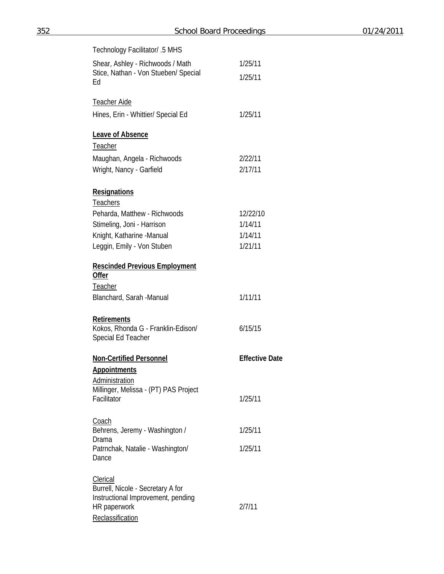| Technology Facilitator/ .5 MHS                                                 |                       |
|--------------------------------------------------------------------------------|-----------------------|
| Shear, Ashley - Richwoods / Math<br>Stice, Nathan - Von Stueben/ Special<br>Ed | 1/25/11<br>1/25/11    |
| <b>Teacher Aide</b>                                                            |                       |
| Hines, Erin - Whittier/ Special Ed                                             | 1/25/11               |
| <b>Leave of Absence</b>                                                        |                       |
| Teacher                                                                        |                       |
| Maughan, Angela - Richwoods                                                    | 2/22/11               |
| Wright, Nancy - Garfield                                                       | 2/17/11               |
| Resignations                                                                   |                       |
| <b>Teachers</b>                                                                |                       |
| Peharda, Matthew - Richwoods                                                   | 12/22/10              |
| Stimeling, Joni - Harrison                                                     | 1/14/11<br>1/14/11    |
| Knight, Katharine -Manual<br>Leggin, Emily - Von Stuben                        | 1/21/11               |
|                                                                                |                       |
| <b>Rescinded Previous Employment</b><br>Offer                                  |                       |
| Teacher                                                                        |                       |
| Blanchard, Sarah -Manual                                                       | 1/11/11               |
| <b>Retirements</b><br>Kokos, Rhonda G - Franklin-Edison/<br>Special Ed Teacher | 6/15/15               |
| <b>Non-Certified Personnel</b>                                                 | <b>Effective Date</b> |
| <u>Appointments</u>                                                            |                       |
| Administration                                                                 |                       |
| Millinger, Melissa - (PT) PAS Project<br>Facilitator                           | 1/25/11               |
| Coach<br>Behrens, Jeremy - Washington /                                        | 1/25/11               |
| Drama                                                                          |                       |
| Patrnchak, Natalie - Washington/<br>Dance                                      | 1/25/11               |
| <b>Clerical</b>                                                                |                       |
| Burrell, Nicole - Secretary A for                                              |                       |
| Instructional Improvement, pending<br>HR paperwork                             | 2/7/11                |
| Reclassification                                                               |                       |
|                                                                                |                       |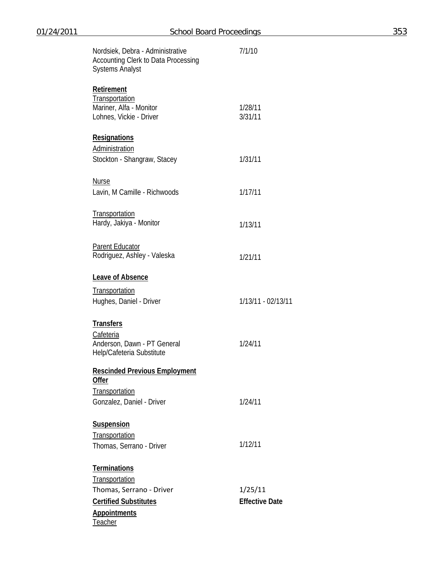| Nordsiek, Debra - Administrative<br>Accounting Clerk to Data Processing<br><b>Systems Analyst</b>                                   | 7/1/10                           |
|-------------------------------------------------------------------------------------------------------------------------------------|----------------------------------|
| <b>Retirement</b><br>Transportation<br>Mariner, Alfa - Monitor<br>Lohnes, Vickie - Driver                                           | 1/28/11<br>3/31/11               |
| <b>Resignations</b><br>Administration<br>Stockton - Shangraw, Stacey                                                                | 1/31/11                          |
| <b>Nurse</b><br>Lavin, M Camille - Richwoods                                                                                        | 1/17/11                          |
| Transportation<br>Hardy, Jakiya - Monitor                                                                                           | 1/13/11                          |
| <b>Parent Educator</b><br>Rodriguez, Ashley - Valeska                                                                               | 1/21/11                          |
| <b>Leave of Absence</b><br>Transportation<br>Hughes, Daniel - Driver                                                                | 1/13/11 - 02/13/11               |
| <b>Transfers</b><br>Cafeteria<br>Anderson, Dawn - PT General<br>Help/Cafeteria Substitute                                           | 1/24/11                          |
| <b>Rescinded Previous Employment</b><br>Offer<br>Transportation<br>Gonzalez, Daniel - Driver                                        | 1/24/11                          |
| <b>Suspension</b><br>Transportation<br>Thomas, Serrano - Driver                                                                     | 1/12/11                          |
| <b>Terminations</b><br>Transportation<br>Thomas, Serrano - Driver<br><b>Certified Substitutes</b><br><b>Appointments</b><br>Teacher | 1/25/11<br><b>Effective Date</b> |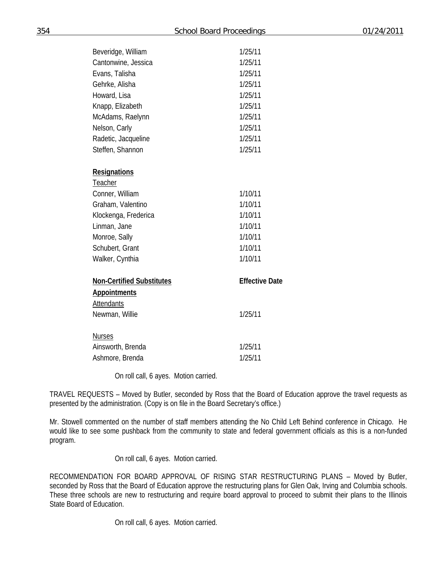| Beveridge, William               | 1/25/11               |  |
|----------------------------------|-----------------------|--|
| Cantonwine, Jessica              | 1/25/11               |  |
| Evans, Talisha                   | 1/25/11               |  |
| Gehrke, Alisha                   | 1/25/11               |  |
| Howard, Lisa                     | 1/25/11               |  |
| Knapp, Elizabeth                 | 1/25/11               |  |
| McAdams, Raelynn                 | 1/25/11               |  |
| Nelson, Carly                    | 1/25/11               |  |
| Radetic, Jacqueline              | 1/25/11               |  |
| Steffen, Shannon                 | 1/25/11               |  |
| Resignations                     |                       |  |
| Teacher                          |                       |  |
| Conner, William                  | 1/10/11               |  |
| Graham, Valentino                | 1/10/11               |  |
| Klockenga, Frederica             | 1/10/11               |  |
| Linman, Jane                     | 1/10/11               |  |
| Monroe, Sally                    | 1/10/11               |  |
| Schubert, Grant                  | 1/10/11               |  |
| Walker, Cynthia                  | 1/10/11               |  |
| <b>Non-Certified Substitutes</b> | <b>Effective Date</b> |  |
| <b>Appointments</b>              |                       |  |
| <b>Attendants</b>                |                       |  |
| Newman, Willie                   | 1/25/11               |  |
| <b>Nurses</b>                    |                       |  |
| Ainsworth, Brenda                | 1/25/11               |  |
| Ashmore, Brenda                  | 1/25/11               |  |

On roll call, 6 ayes. Motion carried.

TRAVEL REQUESTS – Moved by Butler, seconded by Ross that the Board of Education approve the travel requests as presented by the administration. (Copy is on file in the Board Secretary's office.)

Mr. Stowell commented on the number of staff members attending the No Child Left Behind conference in Chicago. He would like to see some pushback from the community to state and federal government officials as this is a non-funded program.

On roll call, 6 ayes. Motion carried.

RECOMMENDATION FOR BOARD APPROVAL OF RISING STAR RESTRUCTURING PLANS – Moved by Butler, seconded by Ross that the Board of Education approve the restructuring plans for Glen Oak, Irving and Columbia schools. These three schools are new to restructuring and require board approval to proceed to submit their plans to the Illinois State Board of Education.

On roll call, 6 ayes. Motion carried.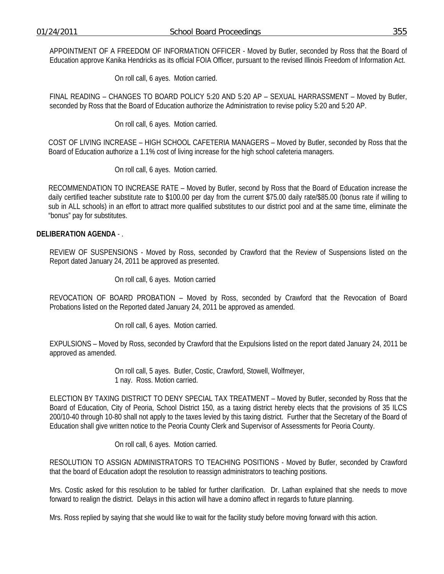APPOINTMENT OF A FREEDOM OF INFORMATION OFFICER - Moved by Butler, seconded by Ross that the Board of Education approve Kanika Hendricks as its official FOIA Officer, pursuant to the revised Illinois Freedom of Information Act.

On roll call, 6 ayes. Motion carried.

FINAL READING – CHANGES TO BOARD POLICY 5:20 AND 5:20 AP – SEXUAL HARRASSMENT – Moved by Butler, seconded by Ross that the Board of Education authorize the Administration to revise policy 5:20 and 5:20 AP.

On roll call, 6 ayes. Motion carried.

COST OF LIVING INCREASE – HIGH SCHOOL CAFETERIA MANAGERS – Moved by Butler, seconded by Ross that the Board of Education authorize a 1.1% cost of living increase for the high school cafeteria managers.

On roll call, 6 ayes. Motion carried.

RECOMMENDATION TO INCREASE RATE – Moved by Butler, second by Ross that the Board of Education increase the daily certified teacher substitute rate to \$100.00 per day from the current \$75.00 daily rate/\$85.00 (bonus rate if willing to sub in ALL schools) in an effort to attract more qualified substitutes to our district pool and at the same time, eliminate the "bonus" pay for substitutes.

#### **DELIBERATION AGENDA** - .

REVIEW OF SUSPENSIONS - Moved by Ross, seconded by Crawford that the Review of Suspensions listed on the Report dated January 24, 2011 be approved as presented.

On roll call, 6 ayes. Motion carried

REVOCATION OF BOARD PROBATION – Moved by Ross, seconded by Crawford that the Revocation of Board Probations listed on the Reported dated January 24, 2011 be approved as amended.

On roll call, 6 ayes. Motion carried.

EXPULSIONS – Moved by Ross, seconded by Crawford that the Expulsions listed on the report dated January 24, 2011 be approved as amended.

> On roll call, 5 ayes. Butler, Costic, Crawford, Stowell, Wolfmeyer, 1 nay. Ross. Motion carried.

ELECTION BY TAXING DISTRICT TO DENY SPECIAL TAX TREATMENT – Moved by Butler, seconded by Ross that the Board of Education, City of Peoria, School District 150, as a taxing district hereby elects that the provisions of 35 ILCS 200/10-40 through 10-80 shall not apply to the taxes levied by this taxing district. Further that the Secretary of the Board of Education shall give written notice to the Peoria County Clerk and Supervisor of Assessments for Peoria County.

On roll call, 6 ayes. Motion carried.

RESOLUTION TO ASSIGN ADMINISTRATORS TO TEACHING POSITIONS - Moved by Butler, seconded by Crawford that the board of Education adopt the resolution to reassign administrators to teaching positions.

Mrs. Costic asked for this resolution to be tabled for further clarification. Dr. Lathan explained that she needs to move forward to realign the district. Delays in this action will have a domino affect in regards to future planning.

Mrs. Ross replied by saying that she would like to wait for the facility study before moving forward with this action.